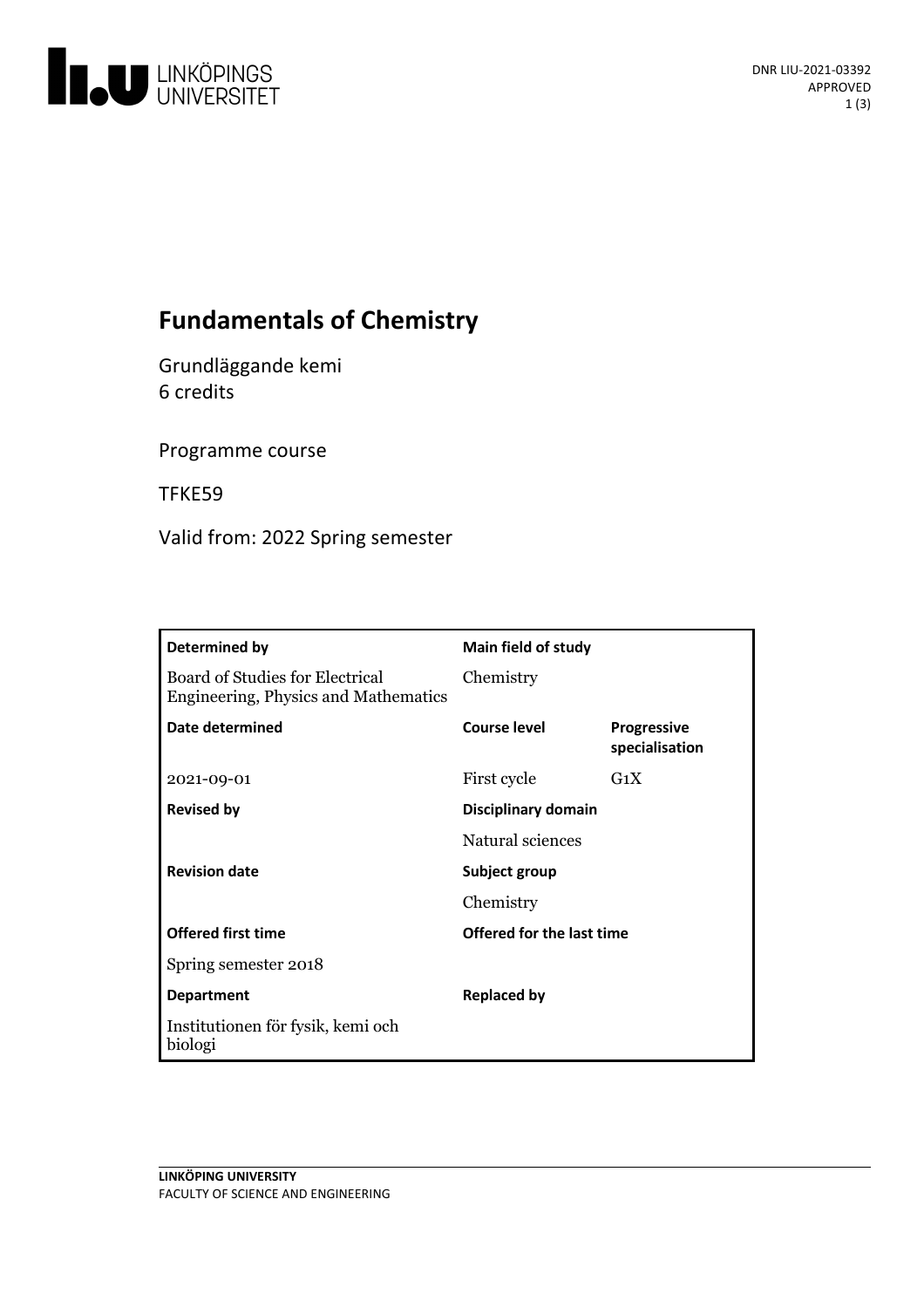

# **Fundamentals of Chemistry**

Grundläggande kemi 6 credits

Programme course

TFKE59

Valid from: 2022 Spring semester

| Determined by                                                           | <b>Main field of study</b> |                                      |
|-------------------------------------------------------------------------|----------------------------|--------------------------------------|
| Board of Studies for Electrical<br>Engineering, Physics and Mathematics | Chemistry                  |                                      |
| Date determined                                                         | <b>Course level</b>        | <b>Progressive</b><br>specialisation |
| 2021-09-01                                                              | First cycle                | $G_1X$                               |
| <b>Revised by</b>                                                       | Disciplinary domain        |                                      |
|                                                                         | Natural sciences           |                                      |
| <b>Revision date</b>                                                    | Subject group              |                                      |
|                                                                         | Chemistry                  |                                      |
| <b>Offered first time</b>                                               | Offered for the last time  |                                      |
| Spring semester 2018                                                    |                            |                                      |
| <b>Department</b>                                                       | <b>Replaced by</b>         |                                      |
| Institutionen för fysik, kemi och<br>biologi                            |                            |                                      |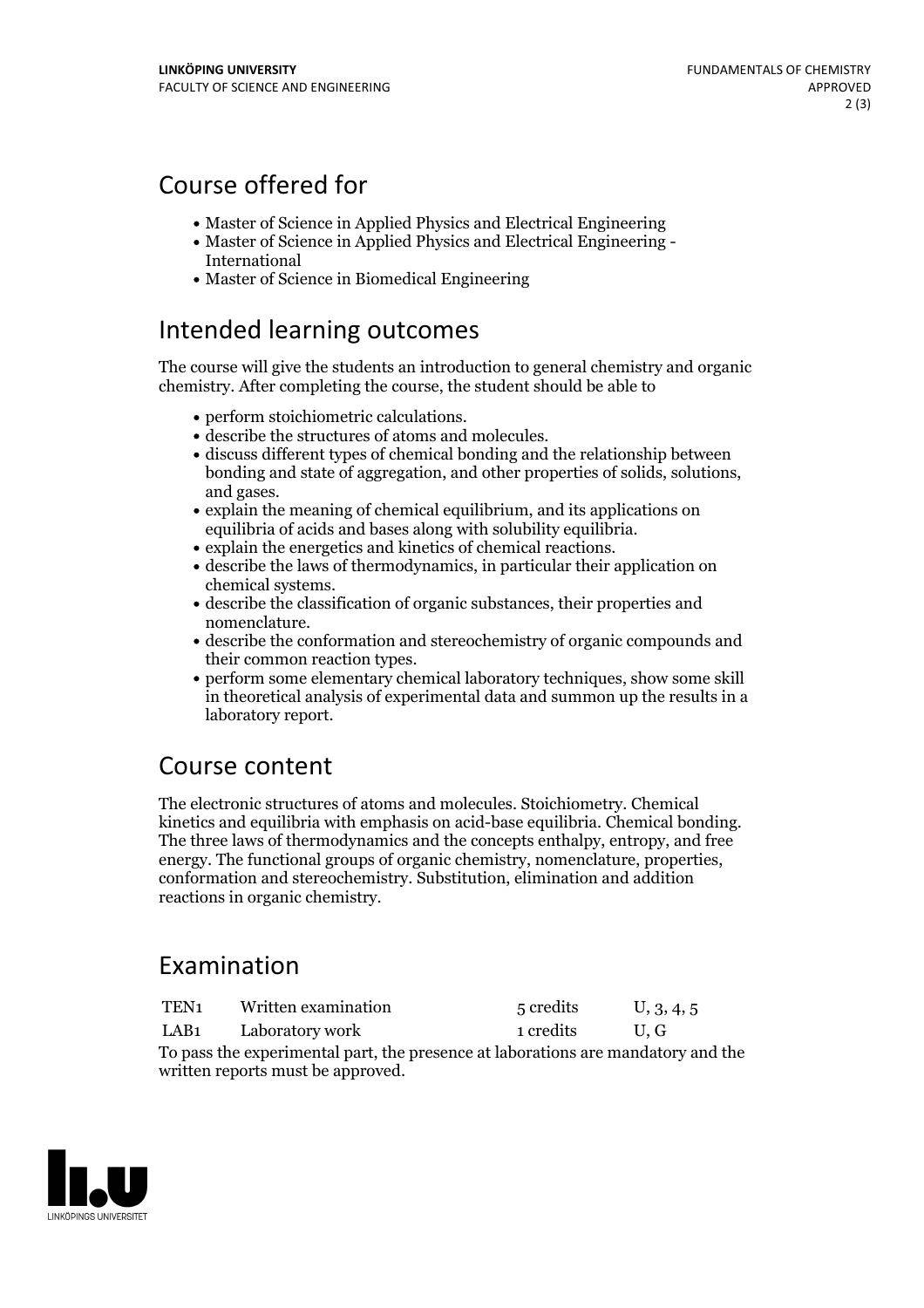# Course offered for

- Master of Science in Applied Physics and Electrical Engineering
- Master of Science in Applied Physics and Electrical Engineering International
- Master of Science in Biomedical Engineering

## Intended learning outcomes

The course will give the students an introduction to general chemistry and organic chemistry. After completing the course, the student should be able to

- 
- 
- perform stoichiometric calculations. describe the structures of atoms and molecules. discuss different types of chemical bonding and the relationship between bonding and state of aggregation, and other properties of solids, solutions, and gases.<br>• explain the meaning of chemical equilibrium, and its applications on
- equilibria of acids and bases along with solubility equilibria.<br>
explain the energetics and kinetics of chemical reactions.<br>
describe the laws of thermodynamics, in particular their application on
- 
- chemical systems.<br>• describe the classification of organic substances, their properties and
- nomenclature.<br>• describe the conformation and stereochemistry of organic compounds and
- their common reaction types.<br>• perform some elementary chemical laboratory techniques, show some skill
- in theoretical analysis of experimental data and summon up the results in a laboratory report.

### Course content

The electronic structures of atoms and molecules. Stoichiometry. Chemical kinetics and equilibria with emphasis on acid-base equilibria. Chemical bonding. The three laws of thermodynamics and the concepts enthalpy, entropy, and free energy. The functional groups of organic chemistry, nomenclature, properties, conformation and stereochemistry. Substitution, elimination and addition reactions in organic chemistry.

## Examination

| TEN1                                                                             | Written examination | 5 credits | U, 3, 4, 5 |  |  |
|----------------------------------------------------------------------------------|---------------------|-----------|------------|--|--|
| LAB1                                                                             | Laboratory work     | 1 credits | U.G        |  |  |
| To pass the experimental part, the presence at laborations are mandatory and the |                     |           |            |  |  |
| written reports must be approved.                                                |                     |           |            |  |  |